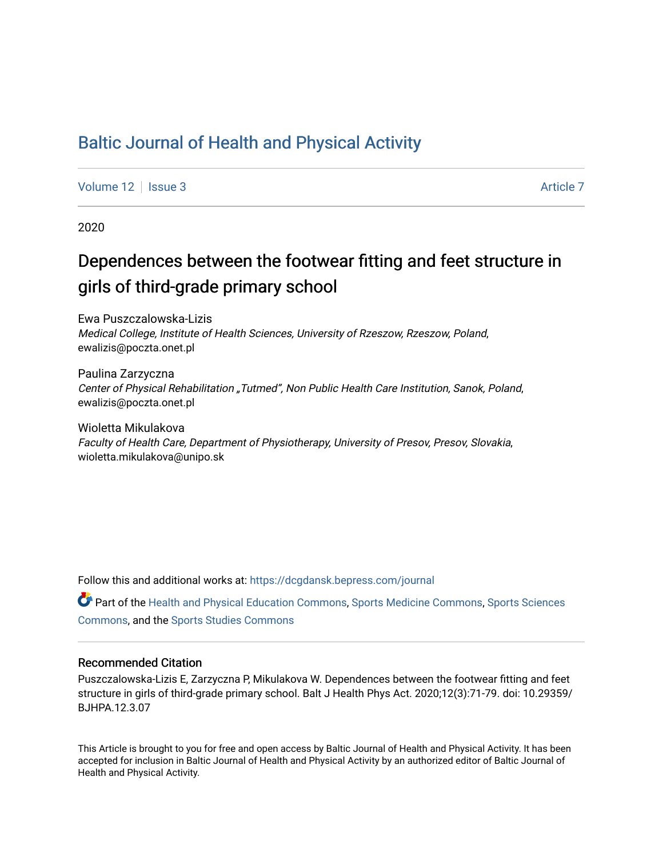## [Baltic Journal of Health and Physical Activity](https://dcgdansk.bepress.com/journal)

[Volume 12](https://dcgdansk.bepress.com/journal/vol12) Setus 2 [Article 7](https://dcgdansk.bepress.com/journal/vol12/iss3/7) Article 7 Article 7 Article 7 Article 7 Article 7 Article 7

2020

# Dependences between the footwear fitting and feet structure in girls of third-grade primary school

Ewa Puszczalowska-Lizis Medical College, Institute of Health Sciences, University of Rzeszow, Rzeszow, Poland, ewalizis@poczta.onet.pl

Paulina Zarzyczna Center of Physical Rehabilitation "Tutmed", Non Public Health Care Institution, Sanok, Poland, ewalizis@poczta.onet.pl

Wioletta Mikulakova Faculty of Health Care, Department of Physiotherapy, University of Presov, Presov, Slovakia, wioletta.mikulakova@unipo.sk

Follow this and additional works at: [https://dcgdansk.bepress.com/journal](https://dcgdansk.bepress.com/journal?utm_source=dcgdansk.bepress.com%2Fjournal%2Fvol12%2Fiss3%2F7&utm_medium=PDF&utm_campaign=PDFCoverPages)

Part of the [Health and Physical Education Commons](http://network.bepress.com/hgg/discipline/1327?utm_source=dcgdansk.bepress.com%2Fjournal%2Fvol12%2Fiss3%2F7&utm_medium=PDF&utm_campaign=PDFCoverPages), [Sports Medicine Commons,](http://network.bepress.com/hgg/discipline/1331?utm_source=dcgdansk.bepress.com%2Fjournal%2Fvol12%2Fiss3%2F7&utm_medium=PDF&utm_campaign=PDFCoverPages) [Sports Sciences](http://network.bepress.com/hgg/discipline/759?utm_source=dcgdansk.bepress.com%2Fjournal%2Fvol12%2Fiss3%2F7&utm_medium=PDF&utm_campaign=PDFCoverPages) [Commons](http://network.bepress.com/hgg/discipline/759?utm_source=dcgdansk.bepress.com%2Fjournal%2Fvol12%2Fiss3%2F7&utm_medium=PDF&utm_campaign=PDFCoverPages), and the [Sports Studies Commons](http://network.bepress.com/hgg/discipline/1198?utm_source=dcgdansk.bepress.com%2Fjournal%2Fvol12%2Fiss3%2F7&utm_medium=PDF&utm_campaign=PDFCoverPages) 

#### Recommended Citation

Puszczalowska-Lizis E, Zarzyczna P, Mikulakova W. Dependences between the footwear fitting and feet structure in girls of third-grade primary school. Balt J Health Phys Act. 2020;12(3):71-79. doi: 10.29359/ BJHPA.12.3.07

This Article is brought to you for free and open access by Baltic Journal of Health and Physical Activity. It has been accepted for inclusion in Baltic Journal of Health and Physical Activity by an authorized editor of Baltic Journal of Health and Physical Activity.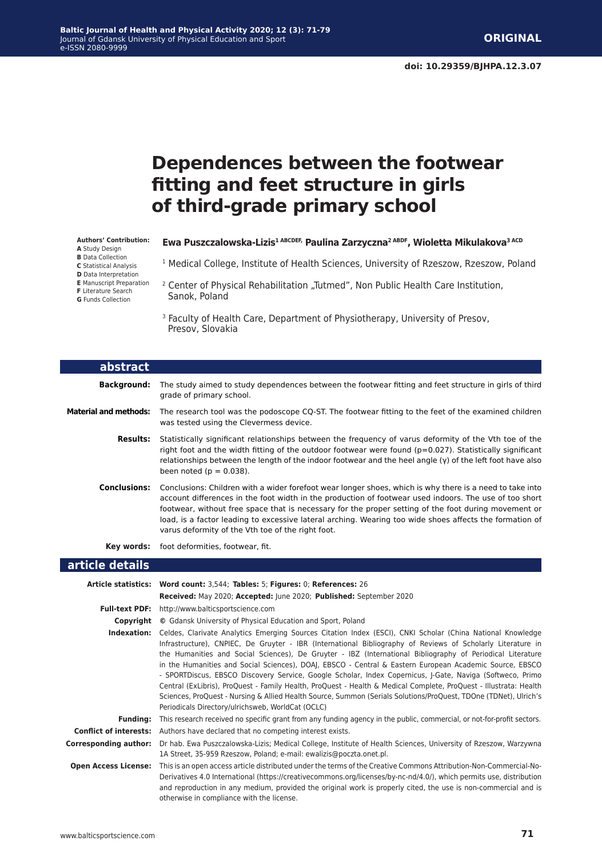## **Dependences between the footwear fitting and feet structure in girls of third-grade primary school**

#### **Authors' Contribution:**

- **A** Study Design
- **B** Data Collection **C** Statistical Analysis
- **D** Data Interpretation
- **E** Manuscript Preparation

**F** Literature Search

**G** Funds Collection

#### Ewa Puszczalowska-Lizis<sup>1 ABCDEF,</sup> Paulina Zarzyczna<sup>2 ABDF</sup>, Wioletta Mikulakova<sup>3 ACD</sup>

- <sup>1</sup> Medical College, Institute of Health Sciences, University of Rzeszow, Rzeszow, Poland
- <sup>2</sup> Center of Physical Rehabilitation "Tutmed", Non Public Health Care Institution, Sanok, Poland
- <sup>3</sup> Faculty of Health Care, Department of Physiotherapy, University of Presov, Presov, Slovakia

| abstract                     |                                                                                                                                                                                                                                                                                                                                                                                                                                                                                            |
|------------------------------|--------------------------------------------------------------------------------------------------------------------------------------------------------------------------------------------------------------------------------------------------------------------------------------------------------------------------------------------------------------------------------------------------------------------------------------------------------------------------------------------|
| Background:                  | The study aimed to study dependences between the footwear fitting and feet structure in girls of third<br>grade of primary school.                                                                                                                                                                                                                                                                                                                                                         |
| <b>Material and methods:</b> | The research tool was the podoscope CQ-ST. The footwear fitting to the feet of the examined children<br>was tested using the Clevermess device.                                                                                                                                                                                                                                                                                                                                            |
| Results:                     | Statistically significant relationships between the frequency of varus deformity of the Vth toe of the<br>right foot and the width fitting of the outdoor footwear were found $(p=0.027)$ . Statistically significant<br>relationships between the length of the indoor footwear and the heel angle $(y)$ of the left foot have also<br>been noted ( $p = 0.038$ ).                                                                                                                        |
| Conclusions:                 | Conclusions: Children with a wider forefoot wear longer shoes, which is why there is a need to take into<br>account differences in the foot width in the production of footwear used indoors. The use of too short<br>footwear, without free space that is necessary for the proper setting of the foot during movement or<br>load, is a factor leading to excessive lateral arching. Wearing too wide shoes affects the formation of<br>varus deformity of the Vth toe of the right foot. |
| Kev words:                   | foot deformities, footwear, fit.                                                                                                                                                                                                                                                                                                                                                                                                                                                           |
| article details              |                                                                                                                                                                                                                                                                                                                                                                                                                                                                                            |

|                               | Article statistics: Word count: 3,544; Tables: 5; Figures: 0; References: 26                                                                                                                                                                                                                                                                                                                                                                                                                                                                                                                                                                                                                                                                                                                                                                                  |
|-------------------------------|---------------------------------------------------------------------------------------------------------------------------------------------------------------------------------------------------------------------------------------------------------------------------------------------------------------------------------------------------------------------------------------------------------------------------------------------------------------------------------------------------------------------------------------------------------------------------------------------------------------------------------------------------------------------------------------------------------------------------------------------------------------------------------------------------------------------------------------------------------------|
|                               | Received: May 2020; Accepted: June 2020; Published: September 2020                                                                                                                                                                                                                                                                                                                                                                                                                                                                                                                                                                                                                                                                                                                                                                                            |
| <b>Full-text PDF:</b>         | http://www.balticsportscience.com                                                                                                                                                                                                                                                                                                                                                                                                                                                                                                                                                                                                                                                                                                                                                                                                                             |
| Copyright                     | © Gdansk University of Physical Education and Sport, Poland                                                                                                                                                                                                                                                                                                                                                                                                                                                                                                                                                                                                                                                                                                                                                                                                   |
| Indexation:                   | Celdes, Clarivate Analytics Emerging Sources Citation Index (ESCI), CNKI Scholar (China National Knowledge<br>Infrastructure), CNPIEC, De Gruyter - IBR (International Bibliography of Reviews of Scholarly Literature in<br>the Humanities and Social Sciences), De Gruyter - IBZ (International Bibliography of Periodical Literature<br>in the Humanities and Social Sciences), DOAJ, EBSCO - Central & Eastern European Academic Source, EBSCO<br>- SPORTDiscus, EBSCO Discovery Service, Google Scholar, Index Copernicus, J-Gate, Naviga (Softweco, Primo<br>Central (ExLibris), ProQuest - Family Health, ProQuest - Health & Medical Complete, ProQuest - Illustrata: Health<br>Sciences, ProQuest - Nursing & Allied Health Source, Summon (Serials Solutions/ProQuest, TDOne (TDNet), Ulrich's<br>Periodicals Directory/ulrichsweb, WorldCat (OCLC) |
| <b>Funding:</b>               | This research received no specific grant from any funding agency in the public, commercial, or not-for-profit sectors.                                                                                                                                                                                                                                                                                                                                                                                                                                                                                                                                                                                                                                                                                                                                        |
| <b>Conflict of interests:</b> | Authors have declared that no competing interest exists.                                                                                                                                                                                                                                                                                                                                                                                                                                                                                                                                                                                                                                                                                                                                                                                                      |
| <b>Corresponding author:</b>  | Dr hab. Ewa Puszczalowska-Lizis; Medical College, Institute of Health Sciences, University of Rzeszow, Warzywna<br>1A Street, 35-959 Rzeszow, Poland; e-mail: ewalizis@poczta.onet.pl.                                                                                                                                                                                                                                                                                                                                                                                                                                                                                                                                                                                                                                                                        |
| <b>Open Access License:</b>   | This is an open access article distributed under the terms of the Creative Commons Attribution-Non-Commercial-No-<br>Derivatives 4.0 International (https://creativecommons.org/licenses/by-nc-nd/4.0/), which permits use, distribution<br>and reproduction in any medium, provided the original work is properly cited, the use is non-commercial and is<br>otherwise in compliance with the license.                                                                                                                                                                                                                                                                                                                                                                                                                                                       |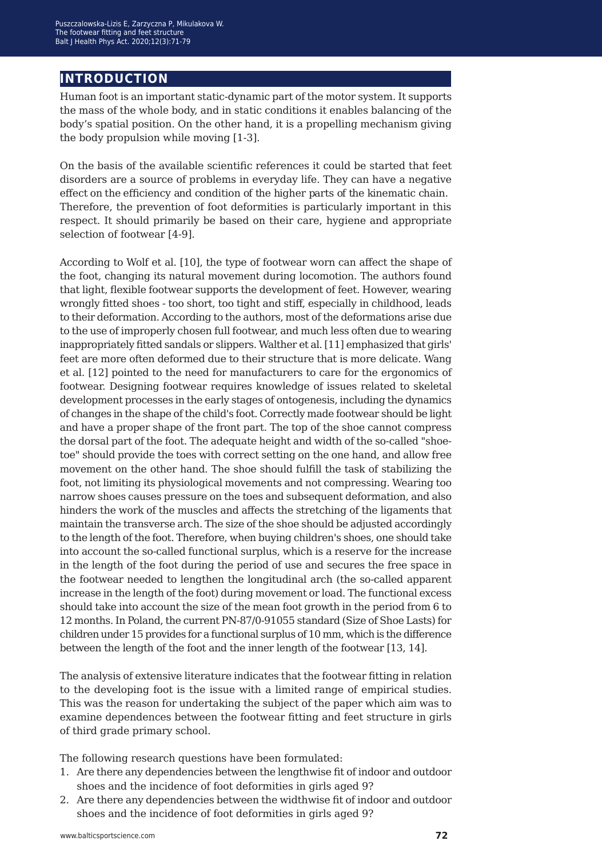## **introduction**

Human foot is an important static-dynamic part of the motor system. It supports the mass of the whole body, and in static conditions it enables balancing of the body's spatial position. On the other hand, it is a propelling mechanism giving the body propulsion while moving [1-3].

On the basis of the available scientific references it could be started that feet disorders are a source of problems in everyday life. They can have a negative effect on the efficiency and condition of the higher parts of the kinematic chain. Therefore, the prevention of foot deformities is particularly important in this respect. It should primarily be based on their care, hygiene and appropriate selection of footwear [4-9].

According to Wolf et al. [10], the type of footwear worn can affect the shape of the foot, changing its natural movement during locomotion. The authors found that light, flexible footwear supports the development of feet. However, wearing wrongly fitted shoes - too short, too tight and stiff, especially in childhood, leads to their deformation. According to the authors, most of the deformations arise due to the use of improperly chosen full footwear, and much less often due to wearing inappropriately fitted sandals or slippers. Walther et al. [11] emphasized that girls' feet are more often deformed due to their structure that is more delicate. Wang et al. [12] pointed to the need for manufacturers to care for the ergonomics of footwear. Designing footwear requires knowledge of issues related to skeletal development processes in the early stages of ontogenesis, including the dynamics of changes in the shape of the child's foot. Correctly made footwear should be light and have a proper shape of the front part. The top of the shoe cannot compress the dorsal part of the foot. The adequate height and width of the so-called "shoetoe" should provide the toes with correct setting on the one hand, and allow free movement on the other hand. The shoe should fulfill the task of stabilizing the foot, not limiting its physiological movements and not compressing. Wearing too narrow shoes causes pressure on the toes and subsequent deformation, and also hinders the work of the muscles and affects the stretching of the ligaments that maintain the transverse arch. The size of the shoe should be adjusted accordingly to the length of the foot. Therefore, when buying children's shoes, one should take into account the so-called functional surplus, which is a reserve for the increase in the length of the foot during the period of use and secures the free space in the footwear needed to lengthen the longitudinal arch (the so-called apparent increase in the length of the foot) during movement or load. The functional excess should take into account the size of the mean foot growth in the period from 6 to 12 months. In Poland, the current PN-87/0-91055 standard (Size of Shoe Lasts) for children under 15 provides for a functional surplus of 10 mm, which is the difference between the length of the foot and the inner length of the footwear [13, 14].

The analysis of extensive literature indicates that the footwear fitting in relation to the developing foot is the issue with a limited range of empirical studies. This was the reason for undertaking the subject of the paper which aim was to examine dependences between the footwear fitting and feet structure in girls of third grade primary school.

The following research questions have been formulated:

- 1. Are there any dependencies between the lengthwise fit of indoor and outdoor shoes and the incidence of foot deformities in girls aged 9?
- 2. Are there any dependencies between the widthwise fit of indoor and outdoor shoes and the incidence of foot deformities in girls aged 9?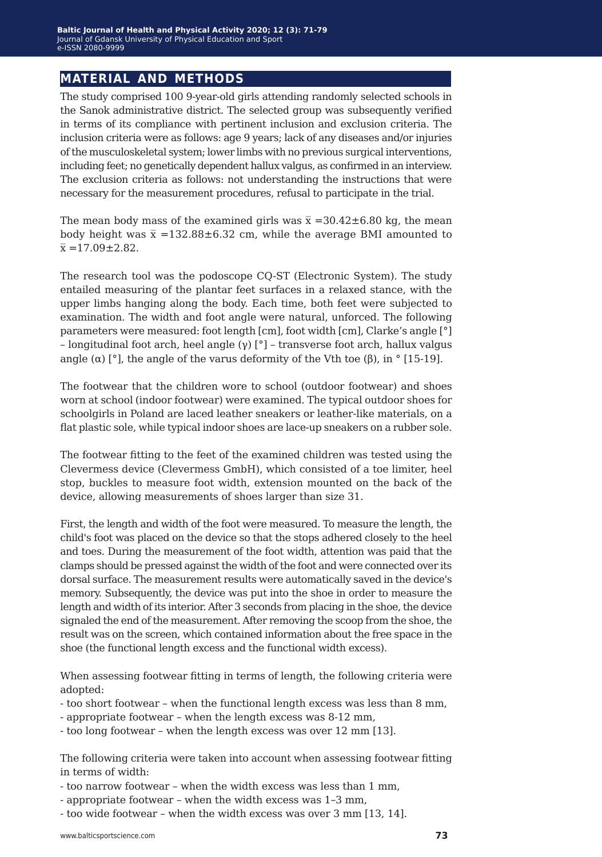### **material and methods**

The study comprised 100 9-year-old girls attending randomly selected schools in the Sanok administrative district. The selected group was subsequently verified in terms of its compliance with pertinent inclusion and exclusion criteria. The inclusion criteria were as follows: age 9 years; lack of any diseases and/or injuries of the musculoskeletal system; lower limbs with no previous surgical interventions, including feet; no genetically dependent hallux valgus, as confirmed in an interview. The exclusion criteria as follows: not understanding the instructions that were necessary for the measurement procedures, refusal to participate in the trial.

The mean body mass of the examined girls was  $\bar{x}$  =30.42±6.80 kg, the mean body height was  $\bar{x}$  =132.88±6.32 cm, while the average BMI amounted to  $\bar{x}$  =17.09±2.82.

The research tool was the podoscope CQ-ST (Electronic System). The study entailed measuring of the plantar feet surfaces in a relaxed stance, with the upper limbs hanging along the body. Each time, both feet were subjected to examination. The width and foot angle were natural, unforced. The following parameters were measured: foot length [cm], foot width [cm], Clarke's angle [°] – longitudinal foot arch, heel angle (γ) [°] – transverse foot arch, hallux valgus angle (α) [°], the angle of the varus deformity of the Vth toe (β), in ° [15-19].

The footwear that the children wore to school (outdoor footwear) and shoes worn at school (indoor footwear) were examined. The typical outdoor shoes for schoolgirls in Poland are laced leather sneakers or leather-like materials, on a flat plastic sole, while typical indoor shoes are lace-up sneakers on a rubber sole.

The footwear fitting to the feet of the examined children was tested using the Clevermess device (Clevermess GmbH), which consisted of a toe limiter, heel stop, buckles to measure foot width, extension mounted on the back of the device, allowing measurements of shoes larger than size 31.

First, the length and width of the foot were measured. To measure the length, the child's foot was placed on the device so that the stops adhered closely to the heel and toes. During the measurement of the foot width, attention was paid that the clamps should be pressed against the width of the foot and were connected over its dorsal surface. The measurement results were automatically saved in the device's memory. Subsequently, the device was put into the shoe in order to measure the length and width of its interior. After 3 seconds from placing in the shoe, the device signaled the end of the measurement. After removing the scoop from the shoe, the result was on the screen, which contained information about the free space in the shoe (the functional length excess and the functional width excess).

When assessing footwear fitting in terms of length, the following criteria were adopted:

- too short footwear when the functional length excess was less than 8 mm,
- appropriate footwear when the length excess was 8-12 mm,
- too long footwear when the length excess was over 12 mm [13].

The following criteria were taken into account when assessing footwear fitting in terms of width:

- too narrow footwear when the width excess was less than 1 mm,
- appropriate footwear when the width excess was 1*−*3 mm,
- too wide footwear when the width excess was over 3 mm [13, 14].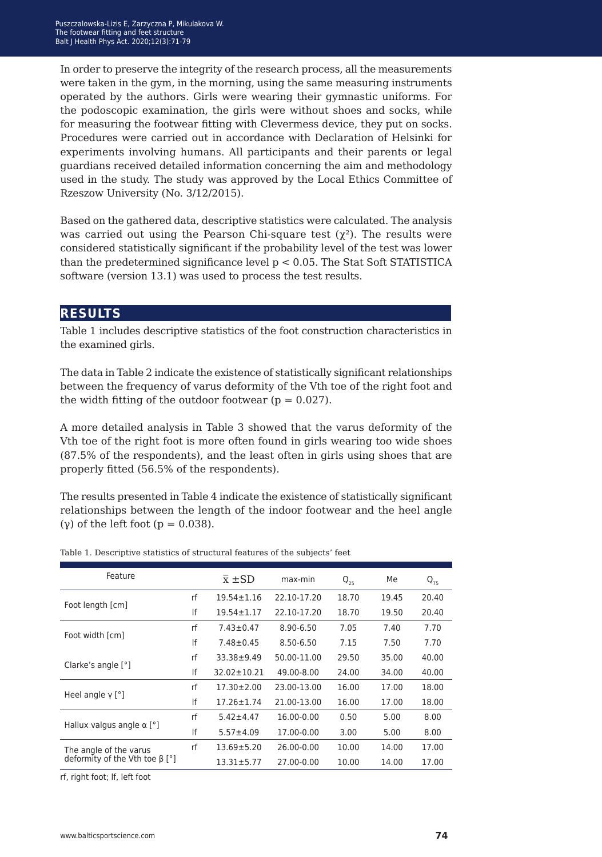In order to preserve the integrity of the research process, all the measurements were taken in the gym, in the morning, using the same measuring instruments operated by the authors. Girls were wearing their gymnastic uniforms. For the podoscopic examination, the girls were without shoes and socks, while for measuring the footwear fitting with Clevermess device, theyput on socks. Procedures were carried out in accordance with Declaration of Helsinki for experiments involving humans. All participants and their parents or legal guardians received detailed information concerning the aim and methodology used in the study. The study was approved by the Local Ethics Committee of Rzeszow University (No. 3/12/2015).

Based on the gathered data, descriptive statistics were calculated. The analysis was carried out using the Pearson Chi-square test  $(\chi^2)$ . The results were considered statistically significant if the probability level of the test was lower than the predetermined significance level  $p < 0.05$ . The Stat Soft STATISTICA software (version 13.1) was used to process the test results.

### **results**

Table 1 includes descriptive statistics of the foot construction characteristics in the examined girls.

The data in Table 2 indicate the existence of statistically significant relationships between the frequency of varus deformity of the Vth toe of the right foot and the width fitting of the outdoor footwear ( $p = 0.027$ ).

A more detailed analysis in Table 3 showed that the varus deformity of the Vth toe of the right foot is more often found in girls wearing too wide shoes (87.5% of the respondents), and the least often in girls using shoes that are properly fitted (56.5% of the respondents).

The results presented in Table 4 indicate the existence of statistically significant relationships between the length of the indoor footwear and the heel angle (γ) of the left foot ( $p = 0.038$ ).

|    | $\overline{x}$ $\pm$ SD | max-min     | $Q_{25}$ | Me    | $Q_{75}$ |
|----|-------------------------|-------------|----------|-------|----------|
| rf | $19.54 \pm 1.16$        | 22.10-17.20 | 18.70    | 19.45 | 20.40    |
| lf | $19.54 \pm 1.17$        | 22.10-17.20 | 18.70    | 19.50 | 20.40    |
| rf | $7.43 \pm 0.47$         | 8.90-6.50   | 7.05     | 7.40  | 7.70     |
| lf | $7.48 \pm 0.45$         | 8.50-6.50   | 7.15     | 7.50  | 7.70     |
| rf | $33.38 + 9.49$          | 50.00-11.00 | 29.50    | 35.00 | 40.00    |
| lf | 32.02±10.21             | 49.00-8.00  | 24.00    | 34.00 | 40.00    |
| rf | $17.30 \pm 2.00$        | 23.00-13.00 | 16.00    | 17.00 | 18.00    |
| lf | $17.26 \pm 1.74$        | 21.00-13.00 | 16.00    | 17.00 | 18.00    |
| rf | $5.42 \pm 4.47$         | 16.00-0.00  | 0.50     | 5.00  | 8.00     |
| lf | $5.57 \pm 4.09$         | 17.00-0.00  | 3.00     | 5.00  | 8.00     |
| rf | $13.69 + 5.20$          | 26.00-0.00  | 10.00    | 14.00 | 17.00    |
|    | $13.31 \pm 5.77$        | 27.00-0.00  | 10.00    | 14.00 | 17.00    |
|    |                         |             |          |       |          |

Table 1. Descriptive statistics of structural features of the subjects' feet

rf, right foot; lf, left foot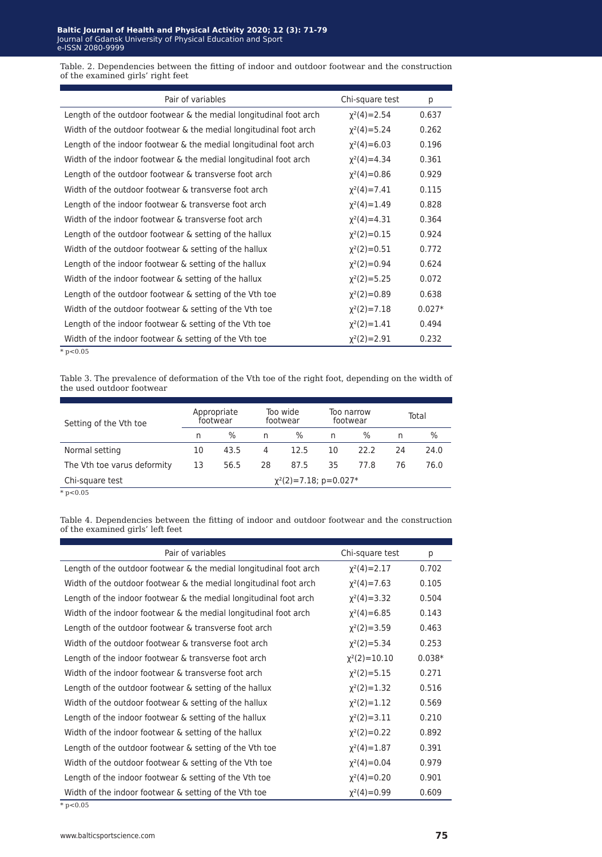Table. 2. Dependencies between the fitting of indoor and outdoor footwear and the construction of the examined girls' right feet

| Pair of variables                                                  | Chi-square test    | р        |
|--------------------------------------------------------------------|--------------------|----------|
| Length of the outdoor footwear & the medial longitudinal foot arch | $\chi^2(4)=2.54$   | 0.637    |
| Width of the outdoor footwear & the medial longitudinal foot arch  | $\chi^2(4)=5.24$   | 0.262    |
| Length of the indoor footwear & the medial longitudinal foot arch  | $\chi^2(4) = 6.03$ | 0.196    |
| Width of the indoor footwear & the medial longitudinal foot arch   | $\chi^2(4)=4.34$   | 0.361    |
| Length of the outdoor footwear & transverse foot arch              | $\chi^2(4)=0.86$   | 0.929    |
| Width of the outdoor footwear & transverse foot arch               | $\chi^2(4)=7.41$   | 0.115    |
| Length of the indoor footwear & transverse foot arch               | $\chi^2(4)=1.49$   | 0.828    |
| Width of the indoor footwear & transverse foot arch                | $\chi^2(4)=4.31$   | 0.364    |
| Length of the outdoor footwear & setting of the hallux             | $\chi^2(2)=0.15$   | 0.924    |
| Width of the outdoor footwear & setting of the hallux              | $\chi^2(2)=0.51$   | 0.772    |
| Length of the indoor footwear $\&$ setting of the hallux           | $\chi^2(2)=0.94$   | 0.624    |
| Width of the indoor footwear & setting of the hallux               | $\chi^2(2) = 5.25$ | 0.072    |
| Length of the outdoor footwear $\&$ setting of the Vth toe         | $\chi^2(2)=0.89$   | 0.638    |
| Width of the outdoor footwear & setting of the Vth toe             | $\chi^2(2)=7.18$   | $0.027*$ |
| Length of the indoor footwear & setting of the Vth toe             | $\chi^2(2)=1.41$   | 0.494    |
| Width of the indoor footwear & setting of the Vth toe              | $\chi^2(2)=2.91$   | 0.232    |
| $*$ p < 0.05                                                       |                    |          |

Table 3. The prevalence of deformation of the Vth toe of the right foot, depending on the width of the used outdoor footwear

| Setting of the Vth toe      | Appropriate<br>footwear |      | Too wide<br>footwear |                             | Too narrow<br>footwear |               | Total |      |
|-----------------------------|-------------------------|------|----------------------|-----------------------------|------------------------|---------------|-------|------|
|                             | n                       | $\%$ | n                    | $\%$                        | n                      | $\frac{0}{0}$ | n     | $\%$ |
| Normal setting              | 10                      | 43.5 | 4                    | 12.5                        | 10                     | 22.2          | 24    | 24.0 |
| The Vth toe varus deformity | 13                      | 56.5 | 28                   | 87.5                        | 35                     | 77.8          | 76    | 76.0 |
| Chi-square test             |                         |      |                      | $\chi^2(2)=7.18$ ; p=0.027* |                        |               |       |      |

 $* p < 0.05$ 

Table 4. Dependencies between the fitting of indoor and outdoor footwear and the construction of the examined girls' left feet

| Pair of variables                                                  | Chi-square test    | p        |
|--------------------------------------------------------------------|--------------------|----------|
| Length of the outdoor footwear & the medial longitudinal foot arch | $\chi^2(4) = 2.17$ | 0.702    |
| Width of the outdoor footwear & the medial longitudinal foot arch  | $\chi^2(4)=7.63$   | 0.105    |
| Length of the indoor footwear & the medial longitudinal foot arch  | $\chi^2(4) = 3.32$ | 0.504    |
| Width of the indoor footwear & the medial longitudinal foot arch   | $\chi^2(4)=6.85$   | 0.143    |
| Length of the outdoor footwear & transverse foot arch              | $\chi^2(2)=3.59$   | 0.463    |
| Width of the outdoor footwear & transverse foot arch               | $\chi^2(2) = 5.34$ | 0.253    |
| Length of the indoor footwear & transverse foot arch               | $\chi^2(2)=10.10$  | $0.038*$ |
| Width of the indoor footwear & transverse foot arch                | $\chi^2(2) = 5.15$ | 0.271    |
| Length of the outdoor footwear & setting of the hallux             | $\chi^2(2)=1.32$   | 0.516    |
| Width of the outdoor footwear & setting of the hallux              | $\chi^2(2)=1.12$   | 0.569    |
| Length of the indoor footwear & setting of the hallux              | $\chi^2(2)=3.11$   | 0.210    |
| Width of the indoor footwear & setting of the hallux               | $\chi^2(2)=0.22$   | 0.892    |
| Length of the outdoor footwear $\&$ setting of the Vth toe         | $\chi^2(4)=1.87$   | 0.391    |
| Width of the outdoor footwear & setting of the Vth toe             | $\chi^2(4)=0.04$   | 0.979    |
| Length of the indoor footwear & setting of the Vth toe             | $\chi^2(4)=0.20$   | 0.901    |
| Width of the indoor footwear & setting of the Vth toe              | $\chi^2(4)=0.99$   | 0.609    |
| $* n < 0.05$                                                       |                    |          |

 $p < 0.05$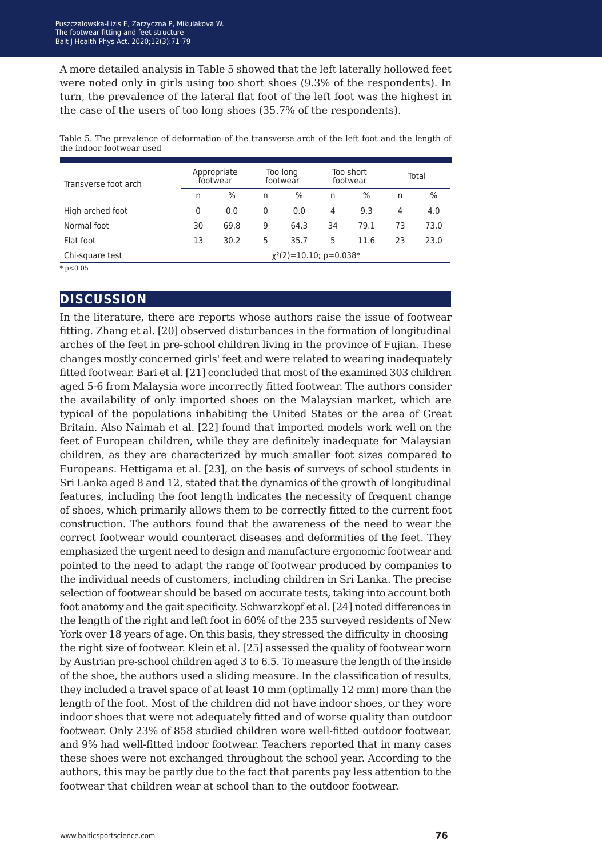A more detailed analysis in Table 5 showed that the left laterally hollowed feet were noted only in girls using too short shoes (9.3% of the respondents). In turn, the prevalence of the lateral flat foot of the left foot was the highest in the case of the users of too long shoes (35.7% of the respondents).

Table 5. The prevalence of deformation of the transverse arch of the left foot and the length of the indoor footwear used

| Transverse foot arch | Appropriate<br>footwear      |      | Too long<br>footwear |      | Too short<br>footwear |      | Total |      |
|----------------------|------------------------------|------|----------------------|------|-----------------------|------|-------|------|
|                      | n                            | $\%$ | n                    | $\%$ | n                     | $\%$ | n     | $\%$ |
| High arched foot     | 0                            | 0.0  | 0                    | 0.0  | 4                     | 9.3  | 4     | 4.0  |
| Normal foot          | 30                           | 69.8 | 9                    | 64.3 | 34                    | 79.1 | 73    | 73.0 |
| Flat foot            | 13                           | 30.2 | 5                    | 35.7 | 5                     | 11.6 | 23    | 23.0 |
| Chi-square test      | $\chi^2(2)$ =10.10; p=0.038* |      |                      |      |                       |      |       |      |
| $* - -0.05$          |                              |      |                      |      |                       |      |       |      |

 $p < 0.05$ 

### **discussion**

In the literature, there are reports whose authors raise the issue of footwear fitting. Zhang et al. [20] observed disturbances in the formation of longitudinal arches of the feet in pre-school children living in the province of Fujian. These changes mostly concerned girls' feet and were related to wearing inadequately fitted footwear. Bari et al. [21] concluded that most of the examined 303 children aged 5-6 from Malaysia wore incorrectly fitted footwear. The authors consider the availability of only imported shoes on the Malaysian market, which are typical of the populations inhabiting the United States or the area of Great Britain. Also Naimah et al. [22] found that imported models work well on the feet of European children, while they are definitely inadequate for Malaysian children, as they are characterized by much smaller foot sizes compared to Europeans. Hettigama et al. [23], on the basis of surveys of school students in Sri Lanka aged 8 and 12, stated that the dynamics of the growth of longitudinal features, including the foot length indicates the necessity of frequent change of shoes, which primarily allows them to be correctly fitted to the current foot construction. The authors found that the awareness of the need to wear the correct footwear would counteract diseases and deformities of the feet. They emphasized the urgent need to design and manufacture ergonomic footwear and pointed to the need to adapt the range of footwear produced by companies to the individual needs of customers, including children in Sri Lanka. The precise selection of footwear should be based on accurate tests, taking into account both foot anatomy and the gait specificity. Schwarzkopf et al. [24] noted differences in the length of the right and left foot in 60% of the 235 surveyed residents of New York over 18 years of age. On this basis, they stressed the difficulty in choosing the right size of footwear. Klein et al. [25] assessed the quality of footwear worn by Austrian pre-school children aged 3 to 6.5. To measure the length of the inside of the shoe, the authors used a sliding measure. In the classification of results, they included a travel space of at least 10 mm (optimally 12 mm) more than the length of the foot. Most of the children did not have indoor shoes, or they wore indoor shoes that were not adequately fitted and of worse quality than outdoor footwear. Only 23% of 858 studied children wore well-fitted outdoor footwear, and 9% had well-fitted indoor footwear. Teachers reported that in many cases these shoes were not exchanged throughout the school year. According to the authors, this may be partly due to the fact that parents pay less attention to the footwear that children wear at school than to the outdoor footwear.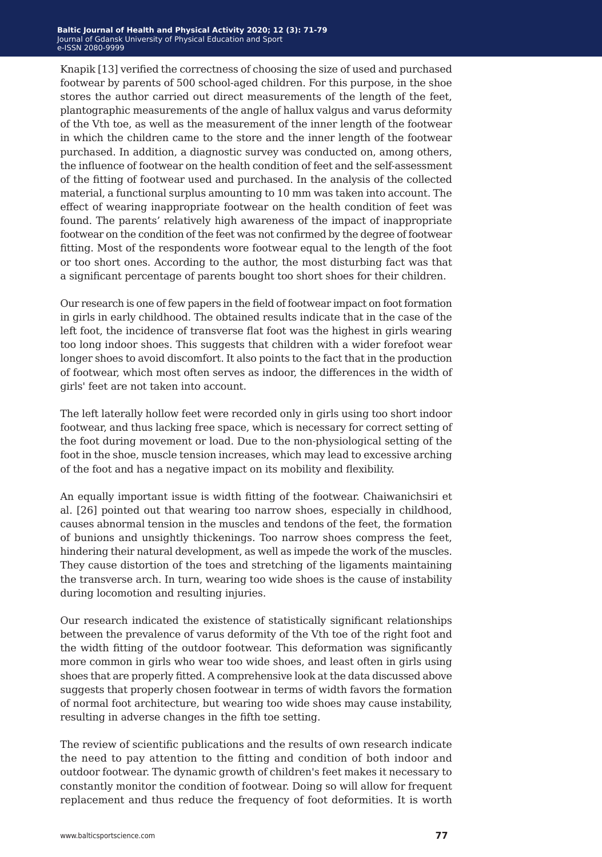Knapik [13] verified the correctness of choosing the size of used and purchased footwear by parents of 500 school-aged children. For this purpose, in the shoe stores the author carried out direct measurements of the length of the feet, plantographic measurements of the angle of hallux valgus and varus deformity of the Vth toe, as well as the measurement of the inner length of the footwear in which the children came to the store and the inner length of the footwear purchased. In addition, a diagnostic survey was conducted on, among others, the influence of footwear on the health condition of feet and the self-assessment of the fitting of footwear used and purchased. In the analysis of the collected material, a functional surplus amounting to 10 mm was taken into account. The effect of wearing inappropriate footwear on the health condition of feet was found. The parents' relatively high awareness of the impact of inappropriate footwear on the condition of the feet was not confirmed by the degree of footwear fitting. Most of the respondents wore footwear equal to the length of the foot or too short ones. According to the author, the most disturbing fact was that a significant percentage of parents bought too short shoes for their children.

Our research is one of few papers in the field of footwear impact on foot formation in girls in early childhood. The obtained results indicate that in the case of the left foot, the incidence of transverse flat foot was the highest in girls wearing too long indoor shoes. This suggests that children with a wider forefoot wear longer shoes to avoid discomfort. It also points to the fact that in the production of footwear, which most often serves as indoor, the differences in the width of girls' feet are not taken into account.

The left laterally hollow feet were recorded only in girls using too short indoor footwear, and thus lacking free space, which is necessary for correct setting of the foot during movement or load. Due to the non-physiological setting of the foot in the shoe, muscle tension increases, which may lead to excessive arching of the foot and has a negative impact on its mobility and flexibility.

An equally important issue is width fitting of the footwear. Chaiwanichsiri et al. [26] pointed out that wearing too narrow shoes, especially in childhood, causes abnormal tension in the muscles and tendons of the feet, the formation of bunions and unsightly thickenings. Too narrow shoes compress the feet, hindering their natural development, as well as impede the work of the muscles. They cause distortion of the toes and stretching of the ligaments maintaining the transverse arch. In turn, wearing too wide shoes is the cause of instability during locomotion and resulting injuries.

Our research indicated the existence of statistically significant relationships between the prevalence of varus deformity of the Vth toe of the right foot and the width fitting of the outdoor footwear. This deformation was significantly more common in girls who wear too wide shoes, and least often in girls using shoes that are properly fitted. A comprehensive look at the data discussed above suggests that properly chosen footwear in terms of width favors the formation of normal foot architecture, but wearing too wide shoes may cause instability, resulting in adverse changes in the fifth toe setting.

The review of scientific publications and the results of own research indicate the need to pay attention to the fitting and condition of both indoor and outdoor footwear. The dynamic growth of children's feet makes it necessary to constantly monitor the condition of footwear. Doing so will allow for frequent replacement and thus reduce the frequency of foot deformities. It is worth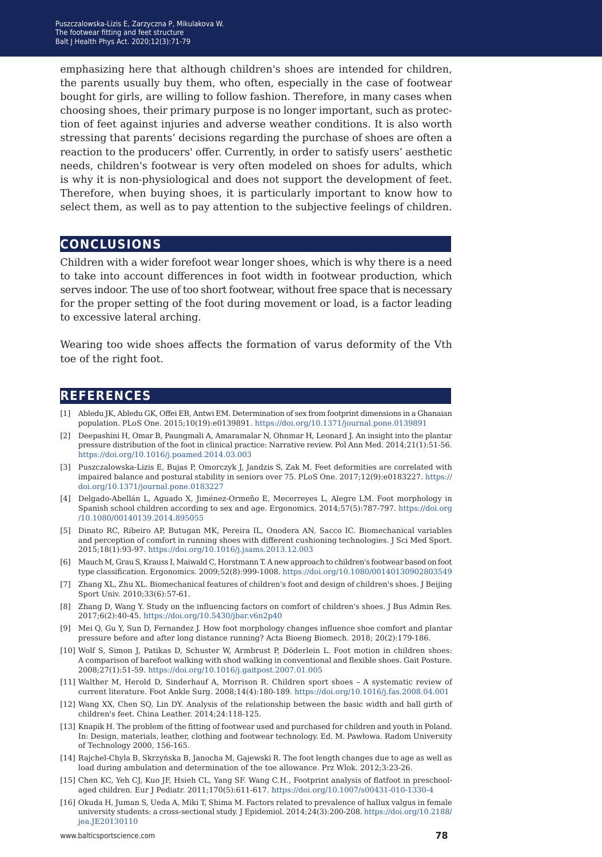emphasizing here that although children's shoes are intended for children, the parents usually buy them, who often, especially in the case of footwear bought for girls, are willing to follow fashion. Therefore, in many cases when choosing shoes, their primary purpose is no longer important, such as protection of feet against injuries and adverse weather conditions. It is also worth stressing that parents' decisions regarding the purchase of shoes are often a reaction to the producers' offer. Currently, in order to satisfy users' aesthetic needs, children's footwear is very often modeled on shoes for adults, which is why it is non-physiological and does not support the development of feet. Therefore, when buying shoes, it is particularly important to know how to select them, as well as to pay attention to the subjective feelings of children.

### **conclusions**

Children with a wider forefoot wear longer shoes, which is why there is a need to take into account differences in foot width in footwear production, which serves indoor. The use of too short footwear, without free space that is necessary for the proper setting of the foot during movement or load, is a factor leading to excessive lateral arching.

Wearing too wide shoes affects the formation of varus deformity of the Vth toe of the right foot.

#### **references**

- [1] Abledu JK, Abledu GK, Offei EB, Antwi EM. Determination of sex from footprint dimensions in a Ghanaian population. PLoS One. 2015;10(19):e0139891. <https://doi.org/10.1371/journal.pone.0139891>
- [2] Deepashini H, Omar B, Paungmali A, Amaramalar N, Ohnmar H, Leonard J. An insight into the plantar pressure distribution of the foot in clinical practice: Narrative review. Pol Ann Med. 2014;21(1):51-56. <https://doi.org/10.1016/j.poamed.2014.03.003>
- [3] Puszczalowska-Lizis E, Bujas P, Omorczyk J, Jandzis S, Zak M. Feet deformities are correlated with impaired balance and postural stability in seniors over 75. PLoS One. 2017;12(9):e0183227. [https://](https://doi.org/10.1371/journal.pone.0183227) [doi.org/10.1371/journal.pone.0183227](https://doi.org/10.1371/journal.pone.0183227)
- [4] Delgado-Abellán L, Aguado X, Jiménez-Ormeño E, Mecerreyes L, Alegre LM. Foot morphology in Spanish school children according to sex and age. Ergonomics. 2014;57(5):787-797. [https://doi.org](https://doi.org/10.1080/00140139.2014.895055) [/10.1080/00140139.2014.895055](https://doi.org/10.1080/00140139.2014.895055)
- [5] Dinato RC, Ribeiro AP, Butugan MK, Pereira IL, Onodera AN, Sacco IC. Biomechanical variables and perception of comfort in running shoes with different cushioning technologies. J Sci Med Sport. 2015;18(1):93-97. <https://doi.org/10.1016/j.jsams.2013.12.003>
- [6] Mauch M, Grau S, Krauss I, Maiwald C, Horstmann T. A new approach to children's footwear based on foot type classification. Ergonomics. 2009;52(8):999-1008. <https://doi.org/10.1080/00140130902803549>
- [7] Zhang XL, Zhu XL. Biomechanical features of children's foot and design of children's shoes. J Beijing Sport Univ. 2010;33(6):57-61.
- [8] Zhang D, Wang Y. Study on the influencing factors on comfort of children's shoes. J Bus Admin Res. 2017;6(2):40-45. <https://doi.org/10.5430/jbar.v6n2p40>
- [9] Mei Q, Gu Y, Sun D, Fernandez J. How foot morphology changes influence shoe comfort and plantar pressure before and after long distance running? Acta Bioeng Biomech. 2018; 20(2):179-186.
- [10] Wolf S, Simon J, Patikas D, Schuster W, Armbrust P, Döderlein L. Foot motion in children shoes: A comparison of barefoot walking with shod walking in conventional and flexible shoes. Gait Posture. 2008;27(1):51-59. <https://doi.org/10.1016/j.gaitpost.2007.01.005>
- [11] Walther M, Herold D, Sinderhauf A, Morrison R. Children sport shoes *−* A systematic review of current literature. Foot Ankle Surg. 2008;14(4):180-189. <https://doi.org/10.1016/j.fas.2008.04.001>
- [12] [Wang XX, Chen SQ, Lin DY. Analysis of the relationship between the basic width and ball girth of](https://doi.org/10.1016/j.fas.2008.04.001)  [children's feet. China Leather. 2014;24:118-125.](https://doi.org/10.1016/j.fas.2008.04.001)
- [13] [Knapik H. The problem of the fitting of footwear used and purchased for children and youth in Poland.](https://doi.org/10.1016/j.fas.2008.04.001) [In: Design, materials, leather, clothing and footwear technology. Ed. M. Pawłowa. Radom University](https://doi.org/10.1016/j.fas.2008.04.001) [of Technology 2000, 156-165.](https://doi.org/10.1016/j.fas.2008.04.001)
- [14] [Rajchel-Chyla B, Skrzyńska B, Janocha M, Gajewski R. The foot length changes due to age as well as](https://doi.org/10.1016/j.fas.2008.04.001)  [load during ambulation and determination of the toe allowance. Prz Wlok. 2012;3:23-26.](https://doi.org/10.1016/j.fas.2008.04.001)
- [15] [Chen KC, Yeh CJ, Kuo JF, Hsieh CL, Yang SF. Wang C.H., Footprint analysis of flatfoot in preschool](https://doi.org/10.1016/j.fas.2008.04.001)aged children. Eur J Pediatr. 2011;170(5):611-617. https://doi.org/10.1007/s00431-010-1330-4
- [16] Okuda H, Juman S, Ueda A, Miki T, Shima M. Factors related to prevalence of hallux valgus in female university students: a cross-sectional study. J Epidemiol. 2014;24(3):200-208. https://doi.org/10.2188/ jea.JE20130110